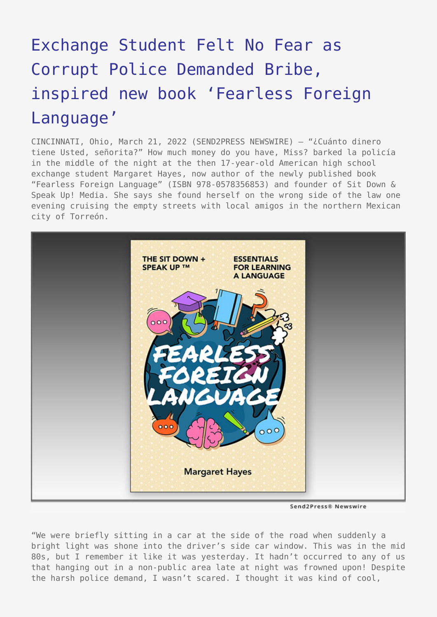## [Exchange Student Felt No Fear as](https://www.send2press.com/wire/exchange-student-felt-no-fear-as-corrupt-police-demanded-bribe-inspired-new-book-fearless-foreign-language/) [Corrupt Police Demanded Bribe,](https://www.send2press.com/wire/exchange-student-felt-no-fear-as-corrupt-police-demanded-bribe-inspired-new-book-fearless-foreign-language/) [inspired new book 'Fearless Foreign](https://www.send2press.com/wire/exchange-student-felt-no-fear-as-corrupt-police-demanded-bribe-inspired-new-book-fearless-foreign-language/) [Language'](https://www.send2press.com/wire/exchange-student-felt-no-fear-as-corrupt-police-demanded-bribe-inspired-new-book-fearless-foreign-language/)

CINCINNATI, Ohio, March 21, 2022 (SEND2PRESS NEWSWIRE) — "¿Cuánto dinero tiene Usted, señorita?" How much money do you have, Miss? barked la policía in the middle of the night at the then 17-year-old American high school exchange student Margaret Hayes, now author of the newly published book "Fearless Foreign Language" (ISBN 978-0578356853) and founder of Sit Down & Speak Up! Media. She says she found herself on the wrong side of the law one evening cruising the empty streets with local amigos in the northern Mexican city of Torreón.



Send2Press® Newswire

"We were briefly sitting in a car at the side of the road when suddenly a bright light was shone into the driver's side car window. This was in the mid 80s, but I remember it like it was yesterday. It hadn't occurred to any of us that hanging out in a non-public area late at night was frowned upon! Despite the harsh police demand, I wasn't scared. I thought it was kind of cool,